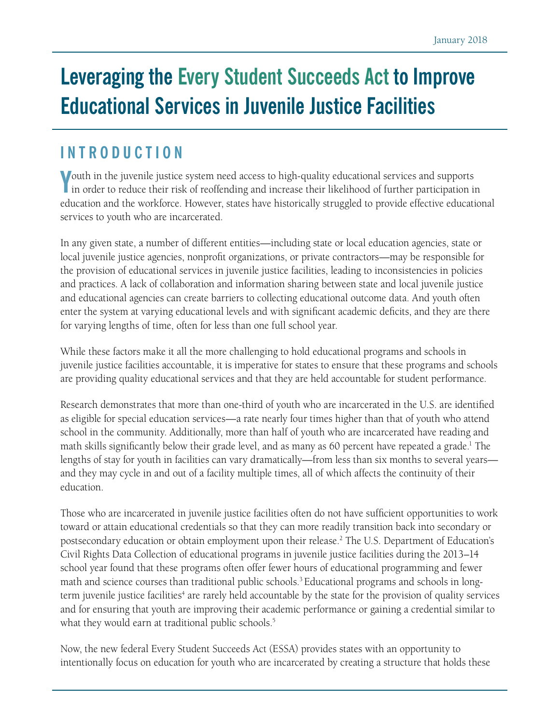# **Leveraging the Every Student Succeeds Act to Improve Educational Services in Juvenile Justice Facilities**

## **INTRODUCTION**

**Y** outh in the juvenile justice system need access to high-quality educational services and supports in order to reduce their risk of reoffending and increase their likelihood of further participation in If in order to reduce their risk of reoffending and increase their likelihood of further participation in education and the workforce. However, states have historically struggled to provide effective educational services to youth who are incarcerated.

In any given state, a number of different entities—including state or local education agencies, state or local juvenile justice agencies, nonprofit organizations, or private contractors—may be responsible for the provision of educational services in juvenile justice facilities, leading to inconsistencies in policies and practices. A lack of collaboration and information sharing between state and local juvenile justice and educational agencies can create barriers to collecting educational outcome data. And youth often enter the system at varying educational levels and with significant academic deficits, and they are there for varying lengths of time, often for less than one full school year.

While these factors make it all the more challenging to hold educational programs and schools in juvenile justice facilities accountable, it is imperative for states to ensure that these programs and schools are providing quality educational services and that they are held accountable for student performance.

Research demonstrates that more than one-third of youth who are incarcerated in the U.S. are identified as eligible for special education services—a rate nearly four times higher than that of youth who attend school in the community. Additionally, more than half of youth who are incarcerated have reading and math skills significantly below their grade level, and as many as 60 percent have repeated a grade.<sup>1</sup> The lengths of stay for youth in facilities can vary dramatically—from less than six months to several years and they may cycle in and out of a facility multiple times, all of which affects the continuity of their education.

Those who are incarcerated in juvenile justice facilities often do not have sufficient opportunities to work toward or attain educational credentials so that they can more readily transition back into secondary or postsecondary education or obtain employment upon their release.<sup>2</sup> The U.S. Department of Education's Civil Rights Data Collection of educational programs in juvenile justice facilities during the 2013–14 school year found that these programs often offer fewer hours of educational programming and fewer math and science courses than traditional public schools.<sup>3</sup> Educational programs and schools in longterm juvenile justice facilities<sup>4</sup> are rarely held accountable by the state for the provision of quality services and for ensuring that youth are improving their academic performance or gaining a credential similar to what they would earn at traditional public schools.<sup>5</sup>

Now, the new federal Every Student Succeeds Act (ESSA) provides states with an opportunity to intentionally focus on education for youth who are incarcerated by creating a structure that holds these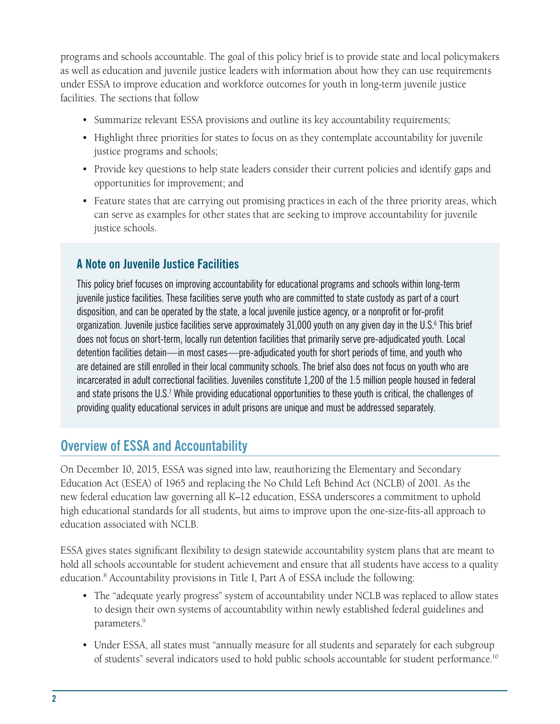programs and schools accountable. The goal of this policy brief is to provide state and local policymakers as well as education and juvenile justice leaders with information about how they can use requirements under ESSA to improve education and workforce outcomes for youth in long-term juvenile justice facilities. The sections that follow

- Summarize relevant ESSA provisions and outline its key accountability requirements;
- Highlight three priorities for states to focus on as they contemplate accountability for juvenile justice programs and schools;
- Provide key questions to help state leaders consider their current policies and identify gaps and opportunities for improvement; and
- Feature states that are carrying out promising practices in each of the three priority areas, which can serve as examples for other states that are seeking to improve accountability for juvenile justice schools.

#### **A Note on Juvenile Justice Facilities**

This policy brief focuses on improving accountability for educational programs and schools within long-term juvenile justice facilities. These facilities serve youth who are committed to state custody as part of a court disposition, and can be operated by the state, a local juvenile justice agency, or a nonprofit or for-profit organization. Juvenile justice facilities serve approximately 31,000 youth on any given day in the U.S.<sup>6</sup> This brief does not focus on short-term, locally run detention facilities that primarily serve pre-adjudicated youth. Local detention facilities detain—in most cases—pre-adjudicated youth for short periods of time, and youth who are detained are still enrolled in their local community schools. The brief also does not focus on youth who are incarcerated in adult correctional facilities. Juveniles constitute 1,200 of the 1.5 million people housed in federal and state prisons the U.S.<sup>7</sup> While providing educational opportunities to these youth is critical, the challenges of providing quality educational services in adult prisons are unique and must be addressed separately.

### **Overview of ESSA and Accountability**

On December 10, 2015, ESSA was signed into law, reauthorizing the Elementary and Secondary Education Act (ESEA) of 1965 and replacing the No Child Left Behind Act (NCLB) of 2001. As the new federal education law governing all K–12 education, ESSA underscores a commitment to uphold high educational standards for all students, but aims to improve upon the one-size-fits-all approach to education associated with NCLB.

ESSA gives states significant flexibility to design statewide accountability system plans that are meant to hold all schools accountable for student achievement and ensure that all students have access to a quality education.<sup>8</sup> Accountability provisions in Title I, Part A of ESSA include the following:

- The "adequate yearly progress" system of accountability under NCLB was replaced to allow states to design their own systems of accountability within newly established federal guidelines and parameters.<sup>9</sup>
- Under ESSA, all states must "annually measure for all students and separately for each subgroup of students" several indicators used to hold public schools accountable for student performance.<sup>10</sup>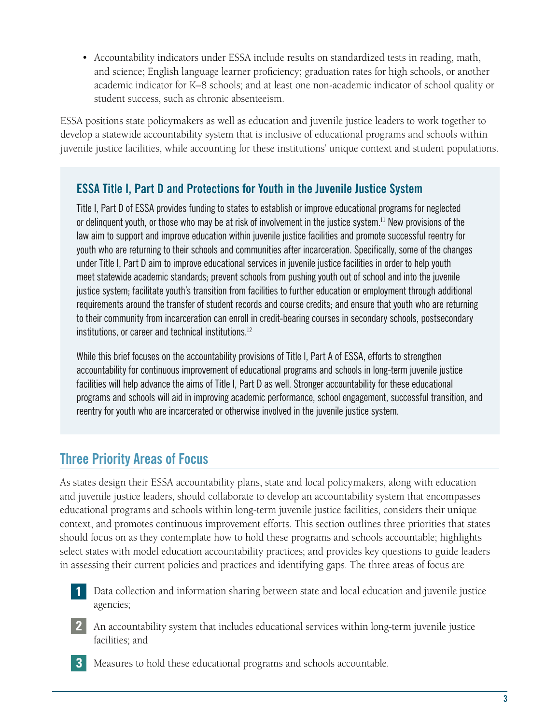• Accountability indicators under ESSA include results on standardized tests in reading, math, and science; English language learner proficiency; graduation rates for high schools, or another academic indicator for K–8 schools; and at least one non-academic indicator of school quality or student success, such as chronic absenteeism.

ESSA positions state policymakers as well as education and juvenile justice leaders to work together to develop a statewide accountability system that is inclusive of educational programs and schools within juvenile justice facilities, while accounting for these institutions' unique context and student populations.

#### **ESSA Title I, Part D and Protections for Youth in the Juvenile Justice System**

Title I, Part D of ESSA provides funding to states to establish or improve educational programs for neglected or delinquent youth, or those who may be at risk of involvement in the justice system.11 New provisions of the law aim to support and improve education within juvenile justice facilities and promote successful reentry for youth who are returning to their schools and communities after incarceration. Specifically, some of the changes under Title I, Part D aim to improve educational services in juvenile justice facilities in order to help youth meet statewide academic standards; prevent schools from pushing youth out of school and into the juvenile justice system; facilitate youth's transition from facilities to further education or employment through additional requirements around the transfer of student records and course credits; and ensure that youth who are returning to their community from incarceration can enroll in credit-bearing courses in secondary schools, postsecondary institutions, or career and technical institutions.12

While this brief focuses on the accountability provisions of Title I, Part A of ESSA, efforts to strengthen accountability for continuous improvement of educational programs and schools in long-term juvenile justice facilities will help advance the aims of Title I, Part D as well. Stronger accountability for these educational programs and schools will aid in improving academic performance, school engagement, successful transition, and reentry for youth who are incarcerated or otherwise involved in the juvenile justice system.

### **Three Priority Areas of Focus**

**3**

As states design their ESSA accountability plans, state and local policymakers, along with education and juvenile justice leaders, should collaborate to develop an accountability system that encompasses educational programs and schools within long-term juvenile justice facilities, considers their unique context, and promotes continuous improvement efforts. This section outlines three priorities that states should focus on as they contemplate how to hold these programs and schools accountable; highlights select states with model education accountability practices; and provides key questions to guide leaders in assessing their current policies and practices and identifying gaps. The three areas of focus are

- Data collection and information sharing between state and local education and juvenile justice agencies; **1**
- An accountability system that includes educational services within long-term juvenile justice facilities; and **2**
	- Measures to hold these educational programs and schools accountable.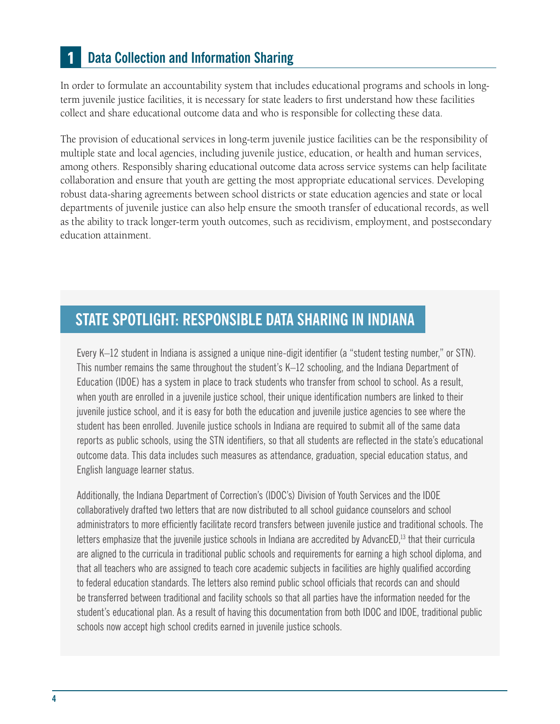#### **Data Collection and Information Sharing 1**

In order to formulate an accountability system that includes educational programs and schools in longterm juvenile justice facilities, it is necessary for state leaders to first understand how these facilities collect and share educational outcome data and who is responsible for collecting these data.

The provision of educational services in long-term juvenile justice facilities can be the responsibility of multiple state and local agencies, including juvenile justice, education, or health and human services, among others. Responsibly sharing educational outcome data across service systems can help facilitate collaboration and ensure that youth are getting the most appropriate educational services. Developing robust data-sharing agreements between school districts or state education agencies and state or local departments of juvenile justice can also help ensure the smooth transfer of educational records, as well as the ability to track longer-term youth outcomes, such as recidivism, employment, and postsecondary education attainment.

## **STATE SPOTLIGHT: RESPONSIBLE DATA SHARING IN INDIANA**

Every K–12 student in Indiana is assigned a unique nine-digit identifier (a "student testing number," or STN). This number remains the same throughout the student's K–12 schooling, and the Indiana Department of Education (IDOE) has a system in place to track students who transfer from school to school. As a result, when youth are enrolled in a juvenile justice school, their unique identification numbers are linked to their juvenile justice school, and it is easy for both the education and juvenile justice agencies to see where the student has been enrolled. Juvenile justice schools in Indiana are required to submit all of the same data reports as public schools, using the STN identifiers, so that all students are reflected in the state's educational outcome data. This data includes such measures as attendance, graduation, special education status, and English language learner status.

Additionally, the Indiana Department of Correction's (IDOC's) Division of Youth Services and the IDOE collaboratively drafted two letters that are now distributed to all school guidance counselors and school administrators to more efficiently facilitate record transfers between juvenile justice and traditional schools. The letters emphasize that the juvenile justice schools in Indiana are accredited by AdvancED,<sup>13</sup> that their curricula are aligned to the curricula in traditional public schools and requirements for earning a high school diploma, and that all teachers who are assigned to teach core academic subjects in facilities are highly qualified according to federal education standards. The letters also remind public school officials that records can and should be transferred between traditional and facility schools so that all parties have the information needed for the student's educational plan. As a result of having this documentation from both IDOC and IDOE, traditional public schools now accept high school credits earned in juvenile justice schools.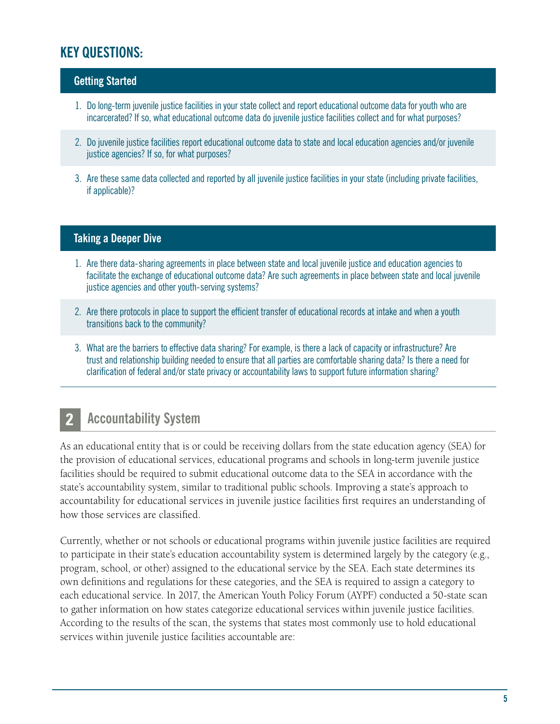### **KEY QUESTIONS:**

#### **Getting Started**

- 1. Do long-term juvenile justice facilities in your state collect and report educational outcome data for youth who are incarcerated? If so, what educational outcome data do juvenile justice facilities collect and for what purposes?
- 2. Do juvenile justice facilities report educational outcome data to state and local education agencies and/or juvenile justice agencies? If so, for what purposes?
- 3. Are these same data collected and reported by all juvenile justice facilities in your state (including private facilities, if applicable)?

#### **Taking a Deeper Dive**

- 1. Are there data-sharing agreements in place between state and local juvenile justice and education agencies to facilitate the exchange of educational outcome data? Are such agreements in place between state and local juvenile justice agencies and other youth-serving systems?
- 2. Are there protocols in place to support the efficient transfer of educational records at intake and when a youth transitions back to the community?
- 3. What are the barriers to effective data sharing? For example, is there a lack of capacity or infrastructure? Are trust and relationship building needed to ensure that all parties are comfortable sharing data? Is there a need for clarification of federal and/or state privacy or accountability laws to support future information sharing?

#### **Accountability System 2**

As an educational entity that is or could be receiving dollars from the state education agency (SEA) for the provision of educational services, educational programs and schools in long-term juvenile justice facilities should be required to submit educational outcome data to the SEA in accordance with the state's accountability system, similar to traditional public schools. Improving a state's approach to accountability for educational services in juvenile justice facilities first requires an understanding of how those services are classified.

Currently, whether or not schools or educational programs within juvenile justice facilities are required to participate in their state's education accountability system is determined largely by the category (e.g., program, school, or other) assigned to the educational service by the SEA. Each state determines its own definitions and regulations for these categories, and the SEA is required to assign a category to each educational service. In 2017, the American Youth Policy Forum (AYPF) conducted a 50-state scan to gather information on how states categorize educational services within juvenile justice facilities. According to the results of the scan, the systems that states most commonly use to hold educational services within juvenile justice facilities accountable are: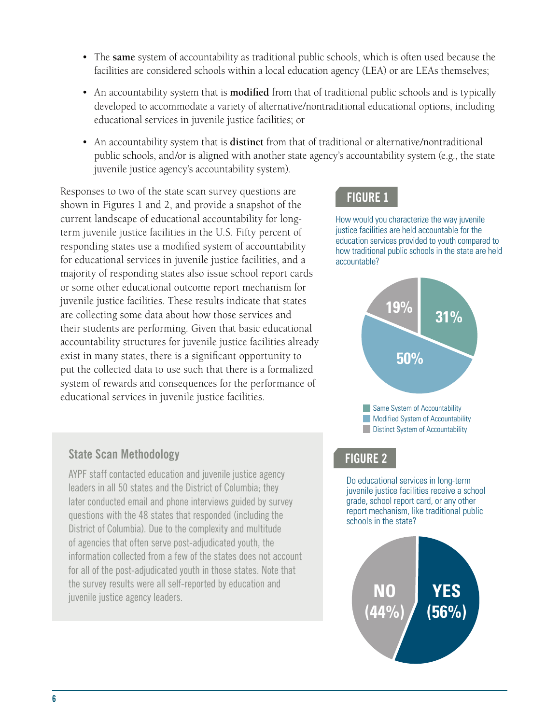- The **same** system of accountability as traditional public schools, which is often used because the facilities are considered schools within a local education agency (LEA) or are LEAs themselves;
- An accountability system that is **modified** from that of traditional public schools and is typically developed to accommodate a variety of alternative/nontraditional educational options, including educational services in juvenile justice facilities; or
- An accountability system that is **distinct** from that of traditional or alternative/nontraditional public schools, and/or is aligned with another state agency's accountability system (e.g., the state juvenile justice agency's accountability system).

Responses to two of the state scan survey questions are shown in Figures 1 and 2, and provide a snapshot of the current landscape of educational accountability for longterm juvenile justice facilities in the U.S. Fifty percent of responding states use a modified system of accountability for educational services in juvenile justice facilities, and a majority of responding states also issue school report cards or some other educational outcome report mechanism for juvenile justice facilities. These results indicate that states are collecting some data about how those services and their students are performing. Given that basic educational accountability structures for juvenile justice facilities already exist in many states, there is a significant opportunity to put the collected data to use such that there is a formalized system of rewards and consequences for the performance of educational services in juvenile justice facilities.

### **FIGURE 1**

How would you characterize the way juvenile justice facilities are held accountable for the education services provided to youth compared to how traditional public schools in the state are held accountable?



Same System of Accountability Modified System of Accountability **Distinct System of Accountability** 

### **State Scan Methodology**

AYPF staff contacted education and juvenile justice agency leaders in all 50 states and the District of Columbia; they later conducted email and phone interviews guided by survey questions with the 48 states that responded (including the District of Columbia). Due to the complexity and multitude of agencies that often serve post-adjudicated youth, the information collected from a few of the states does not account for all of the post-adjudicated youth in those states. Note that the survey results were all self-reported by education and juvenile justice agency leaders.

#### **FIGURE 2**

Do educational services in long-term juvenile justice facilities receive a school grade, school report card, or any other report mechanism, like traditional public schools in the state?

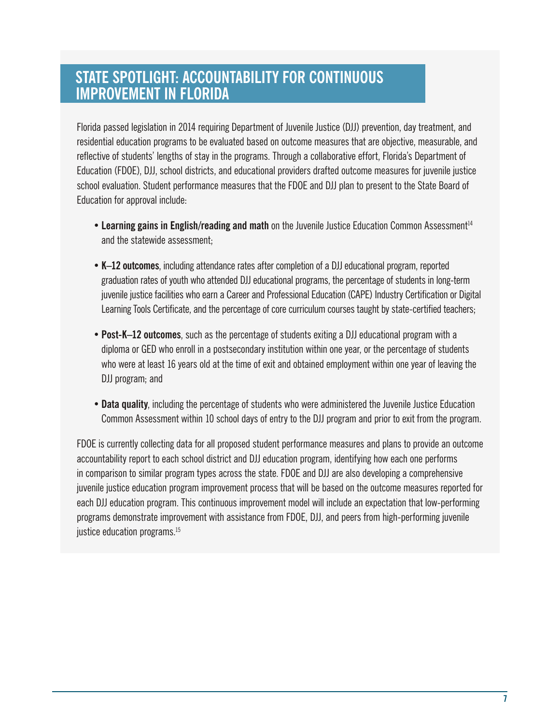## **\ STATE SPOTLIGHT: ACCOUNTABILITY FOR CONTINUOUS IMPROVEMENT IN FLORIDA**

Florida passed legislation in 2014 requiring Department of Juvenile Justice (DJJ) prevention, day treatment, and residential education programs to be evaluated based on outcome measures that are objective, measurable, and reflective of students' lengths of stay in the programs. Through a collaborative effort, Florida's Department of Education (FDOE), DJJ, school districts, and educational providers drafted outcome measures for juvenile justice school evaluation. Student performance measures that the FDOE and DJJ plan to present to the State Board of Education for approval include:

- Learning gains in English/reading and math on the Juvenile Justice Education Common Assessment<sup>14</sup> and the statewide assessment;
- **• K–12 outcomes**, including attendance rates after completion of a DJJ educational program, reported graduation rates of youth who attended DJJ educational programs, the percentage of students in long-term juvenile justice facilities who earn a Career and Professional Education (CAPE) Industry Certification or Digital Learning Tools Certificate, and the percentage of core curriculum courses taught by state-certified teachers;
- diploma or GED who enroll in a postsecondary institution within one year, or the percentage of students<br>discussed a little of the students of the students of the students of the students of the students of the stud **• Post-K–12 outcomes**, such as the percentage of students exiting a DJJ educational program with a who were at least 16 years old at the time of exit and obtained employment within one year of leaving the DJJ program; and
	- **• Data quality**, including the percentage of students who were administered the Juvenile Justice Education Common Assessment within 10 school days of entry to the DJJ program and prior to exit from the program.

FDOE is currently collecting data for all proposed student performance measures and plans to provide an outcome accountability report to each school district and DJJ education program, identifying how each one performs in comparison to similar program types across the state. FDOE and DJJ are also developing a comprehensive juvenile justice education program improvement process that will be based on the outcome measures reported for each DJJ education program. This continuous improvement model will include an expectation that low-performing programs demonstrate improvement with assistance from FDOE, DJJ, and peers from high-performing juvenile justice education programs.<sup>15</sup>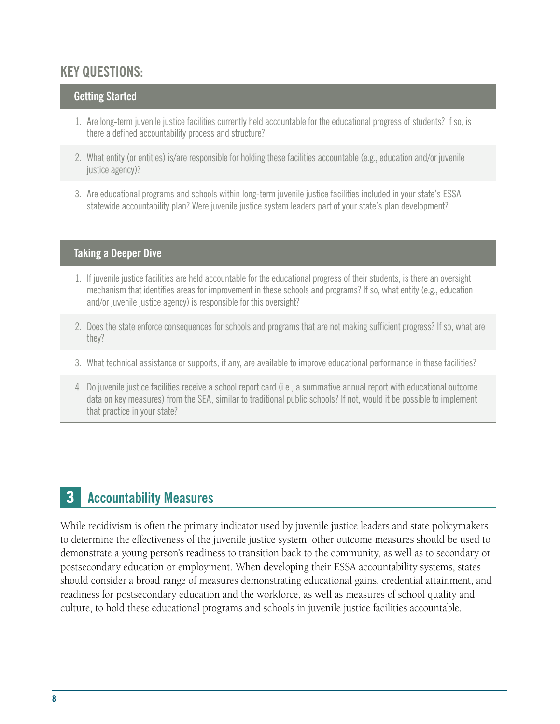### **KEY QUESTIONS:**

#### **Getting Started**

- 1. Are long-term juvenile justice facilities currently held accountable for the educational progress of students? If so, is there a defined accountability process and structure?
- 2. What entity (or entities) is/are responsible for holding these facilities accountable (e.g., education and/or juvenile justice agency)?
- 3. Are educational programs and schools within long-term juvenile justice facilities included in your state's ESSA statewide accountability plan? Were juvenile justice system leaders part of your state's plan development?

#### **Taking a Deeper Dive**

- 1. If juvenile justice facilities are held accountable for the educational progress of their students, is there an oversight mechanism that identifies areas for improvement in these schools and programs? If so, what entity (e.g., education and/or juvenile justice agency) is responsible for this oversight?
- 2. Does the state enforce consequences for schools and programs that are not making sufficient progress? If so, what are they?
- 3. What technical assistance or supports, if any, are available to improve educational performance in these facilities?
- 4. Do juvenile justice facilities receive a school report card (i.e., a summative annual report with educational outcome data on key measures) from the SEA, similar to traditional public schools? If not, would it be possible to implement that practice in your state?

#### **Accountability Measures 3**

While recidivism is often the primary indicator used by juvenile justice leaders and state policymakers to determine the effectiveness of the juvenile justice system, other outcome measures should be used to demonstrate a young person's readiness to transition back to the community, as well as to secondary or postsecondary education or employment. When developing their ESSA accountability systems, states should consider a broad range of measures demonstrating educational gains, credential attainment, and readiness for postsecondary education and the workforce, as well as measures of school quality and culture, to hold these educational programs and schools in juvenile justice facilities accountable.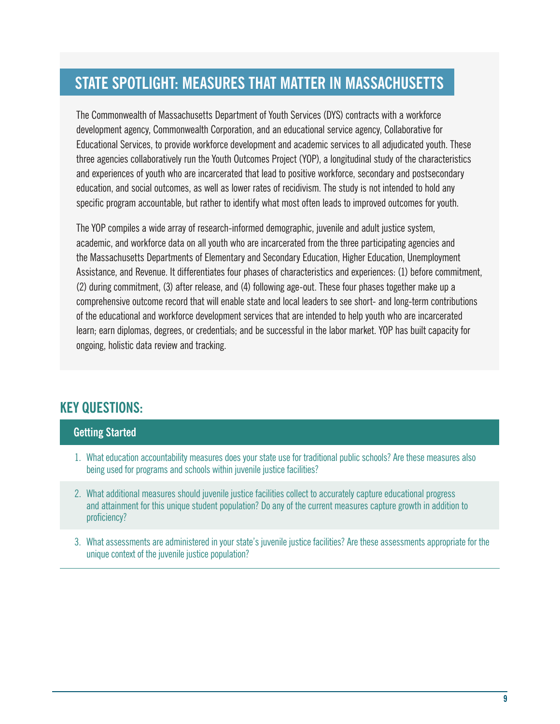#### **\ STATE SPOTLIGHT: MEASURES THAT MATTER IN MASSACHUSETTS**

The Commonwealth of Massachusetts Department of Youth Services (DYS) contracts with a workforce development agency, Commonwealth Corporation, and an educational service agency, Collaborative for Educational Services, to provide workforce development and academic services to all adjudicated youth. These three agencies collaboratively run the Youth Outcomes Project (YOP), a longitudinal study of the characteristics and experiences of youth who are incarcerated that lead to positive workforce, secondary and postsecondary education, and social outcomes, as well as lower rates of recidivism. The study is not intended to hold any specific program accountable, but rather to identify what most often leads to improved outcomes for youth.

The YOP compiles a wide array of research-informed demographic, juvenile and adult justice system, academic, and workforce data on all youth who are incarcerated from the three participating agencies and the Massachusetts Departments of Elementary and Secondary Education, Higher Education, Unemployment Assistance, and Revenue. It differentiates four phases of characteristics and experiences: (1) before commitment, (2) during commitment, (3) after release, and (4) following age-out. These four phases together make up a comprehensive outcome record that will enable state and local leaders to see short- and long-term contributions of the educational and workforce development services that are intended to help youth who are incarcerated learn; earn diplomas, degrees, or credentials; and be successful in the labor market. YOP has built capacity for ongoing, holistic data review and tracking.

### **KEY QUESTIONS:**

#### **Getting Started**

- 1. What education accountability measures does your state use for traditional public schools? Are these measures also being used for programs and schools within juvenile justice facilities?
- 2. What additional measures should juvenile justice facilities collect to accurately capture educational progress and attainment for this unique student population? Do any of the current measures capture growth in addition to proficiency?
- 3. What assessments are administered in your state's juvenile justice facilities? Are these assessments appropriate for the unique context of the juvenile justice population?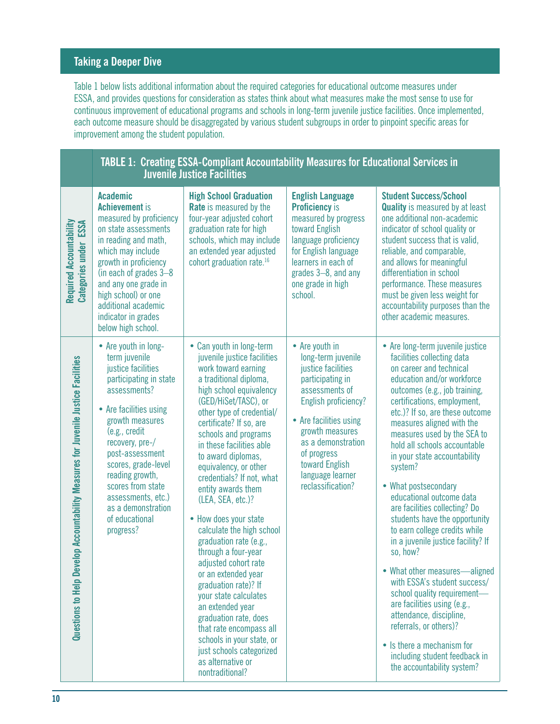#### **Taking a Deeper Dive**

Table 1 below lists additional information about the required categories for educational outcome measures under ESSA, and provides questions for consideration as states think about what measures make the most sense to use for continuous improvement of educational programs and schools in long-term juvenile justice facilities. Once implemented, each outcome measure should be disaggregated by various student subgroups in order to pinpoint specific areas for improvement among the student population.

|                                                                                   | <b>TABLE 1: Creating ESSA-Compliant Accountability Measures for Educational Services in</b><br><b>Juvenile Justice Facilities</b>                                                                                                                                                                                                                   |                                                                                                                                                                                                                                                                                                                                                                                                                                                                                                                                                                                                                                                                                                                                                                                |                                                                                                                                                                                                                                                                       |                                                                                                                                                                                                                                                                                                                                                                                                                                                                                                                                                                                                                                                                                                                                                                                                                                                             |
|-----------------------------------------------------------------------------------|-----------------------------------------------------------------------------------------------------------------------------------------------------------------------------------------------------------------------------------------------------------------------------------------------------------------------------------------------------|--------------------------------------------------------------------------------------------------------------------------------------------------------------------------------------------------------------------------------------------------------------------------------------------------------------------------------------------------------------------------------------------------------------------------------------------------------------------------------------------------------------------------------------------------------------------------------------------------------------------------------------------------------------------------------------------------------------------------------------------------------------------------------|-----------------------------------------------------------------------------------------------------------------------------------------------------------------------------------------------------------------------------------------------------------------------|-------------------------------------------------------------------------------------------------------------------------------------------------------------------------------------------------------------------------------------------------------------------------------------------------------------------------------------------------------------------------------------------------------------------------------------------------------------------------------------------------------------------------------------------------------------------------------------------------------------------------------------------------------------------------------------------------------------------------------------------------------------------------------------------------------------------------------------------------------------|
| Required Accountability<br>ESSA<br><b>Categories under</b>                        | <b>Academic</b><br><b>Achievement</b> is<br>measured by proficiency<br>on state assessments<br>in reading and math,<br>which may include<br>growth in proficiency<br>(in each of grades 3-8<br>and any one grade in<br>high school) or one<br>additional academic<br>indicator in grades<br>below high school.                                      | <b>High School Graduation</b><br><b>Rate</b> is measured by the<br>four-year adjusted cohort<br>graduation rate for high<br>schools, which may include<br>an extended year adjusted<br>cohort graduation rate. <sup>16</sup>                                                                                                                                                                                                                                                                                                                                                                                                                                                                                                                                                   | <b>English Language</b><br><b>Proficiency is</b><br>measured by progress<br>toward English<br>language proficiency<br>for English language<br>learners in each of<br>grades 3-8, and any<br>one grade in high<br>school.                                              | <b>Student Success/School</b><br><b>Quality</b> is measured by at least<br>one additional non-academic<br>indicator of school quality or<br>student success that is valid,<br>reliable, and comparable,<br>and allows for meaningful<br>differentiation in school<br>performance. These measures<br>must be given less weight for<br>accountability purposes than the<br>other academic measures.                                                                                                                                                                                                                                                                                                                                                                                                                                                           |
| Questions to Help Develop Accountability Measures for Juvenile Justice Facilities | • Are youth in long-<br>term juvenile<br>justice facilities<br>participating in state<br>assessments?<br>• Are facilities using<br>growth measures<br>(e.g., credit<br>recovery, pre-/<br>post-assessment<br>scores, grade-level<br>reading growth,<br>scores from state<br>assessments, etc.)<br>as a demonstration<br>of educational<br>progress? | • Can youth in long-term<br>juvenile justice facilities<br>work toward earning<br>a traditional diploma,<br>high school equivalency<br>(GED/HiSet/TASC), or<br>other type of credential/<br>certificate? If so, are<br>schools and programs<br>in these facilities able<br>to award diplomas,<br>equivalency, or other<br>credentials? If not, what<br>entity awards them<br>(LEA, SEA, etc.)?<br>• How does your state<br>calculate the high school<br>graduation rate (e.g.,<br>through a four-year<br>adjusted cohort rate<br>or an extended year<br>graduation rate)? If<br>your state calculates<br>an extended year<br>graduation rate, does<br>that rate encompass all<br>schools in your state, or<br>just schools categorized<br>as alternative or<br>nontraditional? | • Are youth in<br>long-term juvenile<br>justice facilities<br>participating in<br>assessments of<br>English proficiency?<br>• Are facilities using<br>growth measures<br>as a demonstration<br>of progress<br>toward English<br>language learner<br>reclassification? | • Are long-term juvenile justice<br>facilities collecting data<br>on career and technical<br>education and/or workforce<br>outcomes (e.g., job training,<br>certifications, employment,<br>etc.)? If so, are these outcome<br>measures aligned with the<br>measures used by the SEA to<br>hold all schools accountable<br>in your state accountability<br>system?<br>• What postsecondary<br>educational outcome data<br>are facilities collecting? Do<br>students have the opportunity<br>to earn college credits while<br>in a juvenile justice facility? If<br>so, how?<br>• What other measures—aligned<br>with ESSA's student success/<br>school quality requirement-<br>are facilities using (e.g.,<br>attendance, discipline,<br>referrals, or others)?<br>• Is there a mechanism for<br>including student feedback in<br>the accountability system? |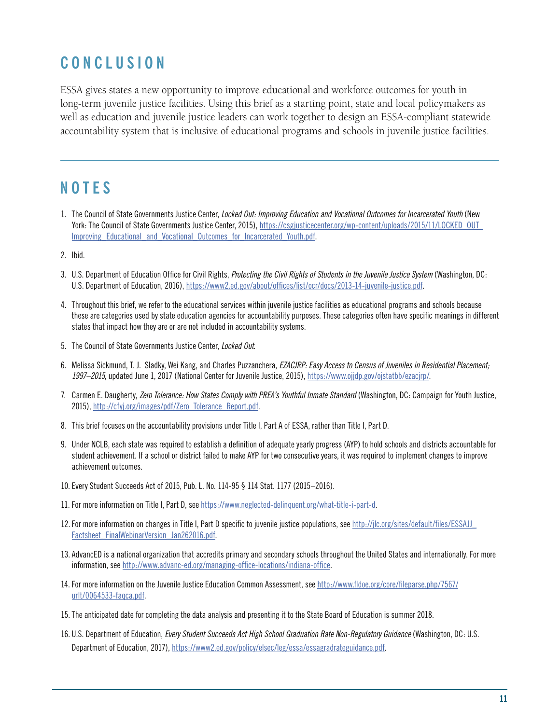## **CONCLUSION**

ESSA gives states a new opportunity to improve educational and workforce outcomes for youth in long-term juvenile justice facilities. Using this brief as a starting point, state and local policymakers as well as education and juvenile justice leaders can work together to design an ESSA-compliant statewide accountability system that is inclusive of educational programs and schools in juvenile justice facilities.

## **NOTES**

- 1. The Council of State Governments Justice Center, *Locked Out: Improving Education and Vocational Outcomes for Incarcerated Youth* (New York: The Council of State Governments Justice Center, 2015), https://csgjusticecenter.org/wp-content/uploads/2015/11/LOCKED\_OUT Improving Educational and Vocational Outcomes for Incarcerated Youth.pdf.
- 2. Ibid.
- 3. U.S. Department of Education Office for Civil Rights, *Protecting the Civil Rights of Students in the Juvenile Justice System* (Washington, DC: U.S. Department of Education, 2016), https://www2.ed.gov/about/offices/list/ocr/docs/2013-14-juvenile-iustice.pdf.
- 4. Throughout this brief, we refer to the educational services within juvenile justice facilities as educational programs and schools because these are categories used by state education agencies for accountability purposes. These categories often have specific meanings in different states that impact how they are or are not included in accountability systems.
- 5. The Council of State Governments Justice Center, *Locked Out*.
- 6. Melissa Sickmund, T. J. Sladky, Wei Kang, and Charles Puzzanchera, *EZACJRP: Easy Access to Census of Juveniles in Residential Placement; 1997–2015*, updated June 1, 2017 (National Center for Juvenile Justice, 2015), https://www.ojjdp.gov/ojstatbb/ezacjrp/.
- 7. Carmen E. Daugherty, *Zero Tolerance: How States Comply with PREA's Youthful Inmate Standard* (Washington, DC: Campaign for Youth Justice, 2015), http://cfyj.org/images/pdf/Zero\_Tolerance\_Report.pdf.
- 8. This brief focuses on the accountability provisions under Title I, Part A of ESSA, rather than Title I, Part D.
- 9. Under NCLB, each state was required to establish a definition of adequate yearly progress (AYP) to hold schools and districts accountable for student achievement. If a school or district failed to make AYP for two consecutive years, it was required to implement changes to improve achievement outcomes.
- 10. Every Student Succeeds Act of 2015, Pub. L. No. 114-95 § 114 Stat. 1177 (2015–2016).
- 11. For more information on Title I, Part D, see https://www.neglected-delinquent.org/what-title-i-part-d.
- 12.For more information on changes in Title I, Part D specific to juvenile justice populations, see http://jlc.org/sites/default/files/ESSAJJ\_ Factsheet FinalWebinarVersion Jan262016.pdf.
- 13. AdvancED is a national organization that accredits primary and secondary schools throughout the United States and internationally. For more information, see http://www.advanc-ed.org/managing-office-locations/indiana-office.
- 14. For more information on the Juvenile Justice Education Common Assessment, see http://www.fldoe.org/core/fileparse.php/7567/ urlt/0064533-faqca.pdf.
- 15.The anticipated date for completing the data analysis and presenting it to the State Board of Education is summer 2018.
- 16. U.S. Department of Education, *Every Student Succeeds Act High School Graduation Rate Non-Regulatory Guidance* (Washington, DC: U.S. Department of Education, 2017), https://www2.ed.gov/policy/elsec/leg/essa/essagradrateguidance.pdf.